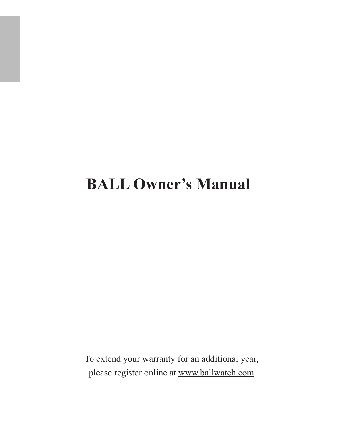# **BALL Owner's Manual**

To extend your warranty for an additional year, please register online at [www.ballwatch.com](http://www.ballwatch.com)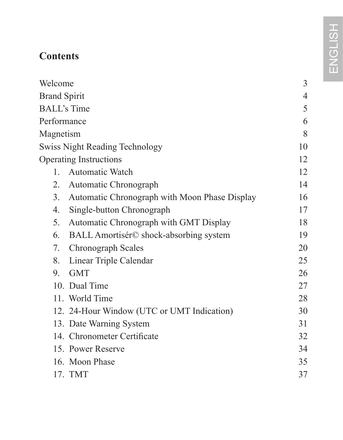# **Contents**

| Welcome                                             | 3  |
|-----------------------------------------------------|----|
| <b>Brand Spirit</b>                                 |    |
| <b>BALL's Time</b>                                  | 5  |
| Performance                                         | 6  |
| Magnetism                                           | 8  |
| Swiss Night Reading Technology                      | 10 |
| Operating Instructions                              | 12 |
| <b>Automatic Watch</b><br>1                         | 12 |
| $2^{\circ}$<br>Automatic Chronograph                | 14 |
| 3.<br>Automatic Chronograph with Moon Phase Display | 16 |
| Single-button Chronograph<br>4.                     | 17 |
| 5.<br>Automatic Chronograph with GMT Display        | 18 |
| 6.<br>BALL Amortisér© shock-absorbing system        | 19 |
| 7.<br>Chronograph Scales                            | 20 |
| Linear Triple Calendar<br>8.                        | 25 |
| <b>GMT</b><br>9.                                    | 26 |
| 10. Dual Time                                       | 27 |
| 11. World Time                                      | 28 |
| 12. 24-Hour Window (UTC or UMT Indication)          | 30 |
| 13. Date Warning System                             | 31 |
| 14. Chronometer Certificate                         | 32 |
| 15. Power Reserve                                   | 34 |
| 16. Moon Phase                                      | 35 |
| 17. TMT                                             | 37 |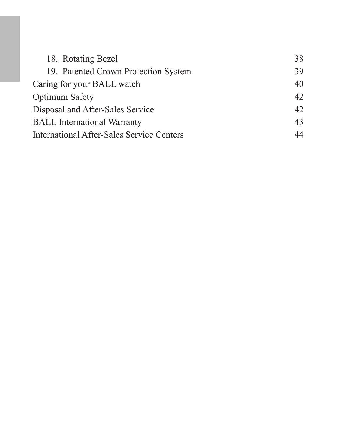| 18. Rotating Bezel                               | 38  |
|--------------------------------------------------|-----|
| 19. Patented Crown Protection System             | 39  |
| Caring for your BALL watch                       | 40  |
| Optimum Safety                                   | 42. |
| Disposal and After-Sales Service                 | 42  |
| <b>BALL</b> International Warranty               | 43  |
| <b>International After-Sales Service Centers</b> | 44  |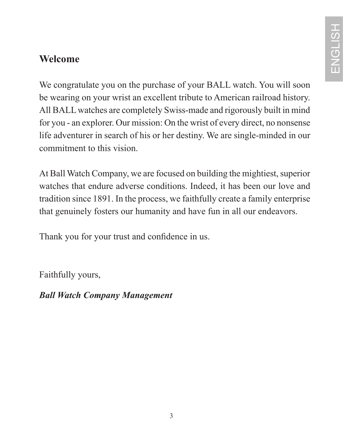### **Welcome**

We congratulate you on the purchase of your BALL watch. You will soon be wearing on your wrist an excellent tribute to American railroad history. All BALL watches are completely Swiss-made and rigorously built in mind for you - an explorer. Our mission: On the wrist of every direct, no nonsense life adventurer in search of his or her destiny. We are single-minded in our commitment to this vision.

At Ball Watch Company, we are focused on building the mightiest, superior watches that endure adverse conditions. Indeed, it has been our love and tradition since 1891. In the process, we faithfully create a family enterprise that genuinely fosters our humanity and have fun in all our endeavors.

Thank you for your trust and confidence in us.

Faithfully yours,

*Ball Watch Company Management*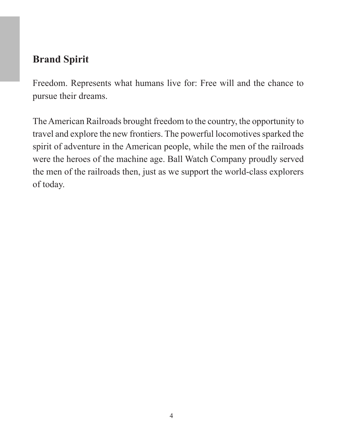### **Brand Spirit**

Freedom. Represents what humans live for: Free will and the chance to pursue their dreams.

The American Railroads brought freedom to the country, the opportunity to travel and explore the new frontiers. The powerful locomotives sparked the spirit of adventure in the American people, while the men of the railroads were the heroes of the machine age. Ball Watch Company proudly served the men of the railroads then, just as we support the world-class explorers of today.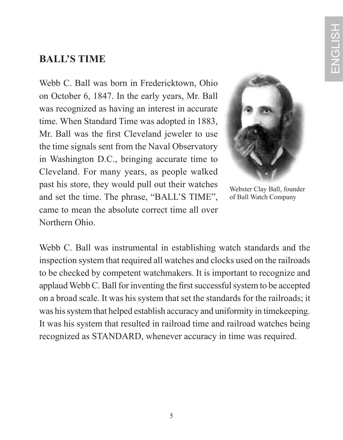### **BALL'S TIME**

Webb C. Ball was born in Fredericktown, Ohio on October 6, 1847. In the early years, Mr. Ball was recognized as having an interest in accurate time. When Standard Time was adopted in 1883, Mr. Ball was the first Cleveland jeweler to use the time signals sent from the Naval Observatory in Washington D.C., bringing accurate time to Cleveland. For many years, as people walked past his store, they would pull out their watches and set the time. The phrase, "BALL'S TIME", came to mean the absolute correct time all over Northern Ohio.



Webster Clay Ball, founder of Ball Watch Company

Webb C. Ball was instrumental in establishing watch standards and the inspection system that required all watches and clocks used on the railroads to be checked by competent watchmakers. It is important to recognize and applaud Webb C. Ball for inventing the first successful system to be accepted on a broad scale. It was his system that set the standards for the railroads; it was his system that helped establish accuracy and uniformity in timekeeping. It was his system that resulted in railroad time and railroad watches being recognized as STANDARD, whenever accuracy in time was required.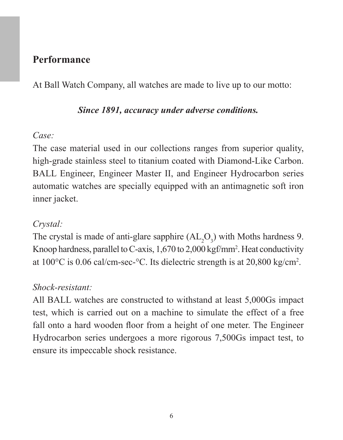#### **Performance**

At Ball Watch Company, all watches are made to live up to our motto:

#### *Since 1891, accuracy under adverse conditions.*

#### *Case:*

The case material used in our collections ranges from superior quality, high-grade stainless steel to titanium coated with Diamond-Like Carbon. BALL Engineer, Engineer Master II, and Engineer Hydrocarbon series automatic watches are specially equipped with an antimagnetic soft iron inner jacket.

#### *Crystal:*

The crystal is made of anti-glare sapphire  $(AL_2O_3)$  with Moths hardness 9. Knoop hardness, parallel to C-axis, 1,670 to 2,000 kgf/mm2 . Heat conductivity at 100°C is 0.06 cal/cm-sec-°C. Its dielectric strength is at 20,800 kg/cm2 .

#### *Shock-resistant:*

All BALL watches are constructed to withstand at least 5,000Gs impact test, which is carried out on a machine to simulate the effect of a free fall onto a hard wooden floor from a height of one meter. The Engineer Hydrocarbon series undergoes a more rigorous 7,500Gs impact test, to ensure its impeccable shock resistance.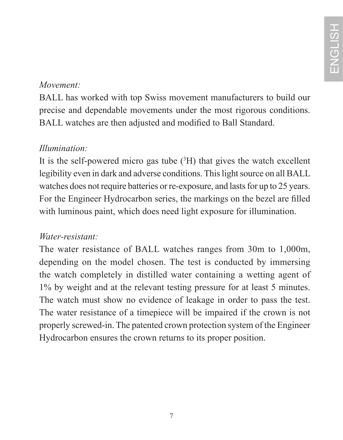#### *Movement:*

BALL has worked with top Swiss movement manufacturers to build our precise and dependable movements under the most rigorous conditions. BALL watches are then adjusted and modified to Ball Standard.

### *Illumination:*

It is the self-powered micro gas tube  $(^{3}H)$  that gives the watch excellent legibility even in dark and adverse conditions. This light source on all BALL watches does not require batteries or re-exposure, and lasts for up to 25 years. For the Engineer Hydrocarbon series, the markings on the bezel are filled with luminous paint, which does need light exposure for illumination.

### *Water-resistant:*

The water resistance of BALL watches ranges from 30m to 1,000m, depending on the model chosen. The test is conducted by immersing the watch completely in distilled water containing a wetting agent of 1% by weight and at the relevant testing pressure for at least 5 minutes. The watch must show no evidence of leakage in order to pass the test. The water resistance of a timepiece will be impaired if the crown is not properly screwed-in. The patented crown protection system of the Engineer Hydrocarbon ensures the crown returns to its proper position.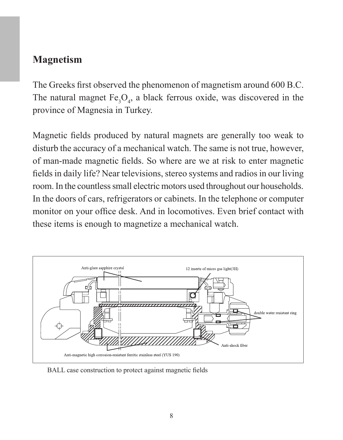### **Magnetism**

The Greeks first observed the phenomenon of magnetism around 600 B.C. The natural magnet  $Fe<sub>3</sub>O<sub>4</sub>$ , a black ferrous oxide, was discovered in the province of Magnesia in Turkey.

Magnetic fields produced by natural magnets are generally too weak to disturb the accuracy of a mechanical watch. The same is not true, however, of man-made magnetic fields. So where are we at risk to enter magnetic fields in daily life? Near televisions, stereo systems and radios in our living room. In the countless small electric motors used throughout our households. In the doors of cars, refrigerators or cabinets. In the telephone or computer monitor on your office desk. And in locomotives. Even brief contact with these items is enough to magnetize a mechanical watch.



BALL case construction to protect against magnetic fields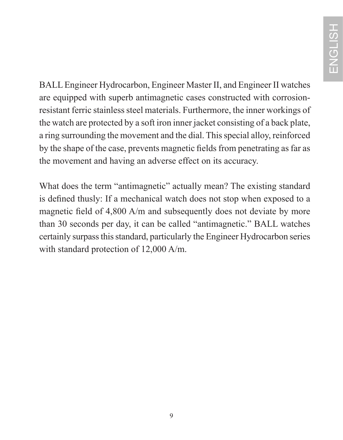BALL Engineer Hydrocarbon, Engineer Master II, and Engineer II watches are equipped with superb antimagnetic cases constructed with corrosionresistant ferric stainless steel materials. Furthermore, the inner workings of the watch are protected by a soft iron inner jacket consisting of a back plate, a ring surrounding the movement and the dial. This special alloy, reinforced by the shape of the case, prevents magnetic fields from penetrating as far as the movement and having an adverse effect on its accuracy.

What does the term "antimagnetic" actually mean? The existing standard is defined thusly: If a mechanical watch does not stop when exposed to a magnetic field of 4,800 A/m and subsequently does not deviate by more than 30 seconds per day, it can be called "antimagnetic." BALL watches certainly surpass this standard, particularly the Engineer Hydrocarbon series with standard protection of 12,000 A/m.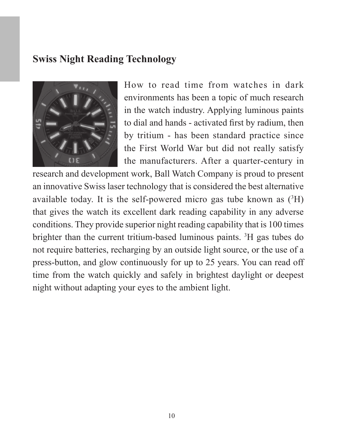### **Swiss Night Reading Technology**



How to read time from watches in dark environments has been a topic of much research in the watch industry. Applying luminous paints to dial and hands - activated first by radium, then by tritium - has been standard practice since the First World War but did not really satisfy the manufacturers. After a quarter-century in

research and development work, Ball Watch Company is proud to present an innovative Swiss laser technology that is considered the best alternative available today. It is the self-powered micro gas tube known as (3H) that gives the watch its excellent dark reading capability in any adverse conditions. They provide superior night reading capability that is 100 times brighter than the current tritium-based luminous paints. 3 H gas tubes do not require batteries, recharging by an outside light source, or the use of a press-button, and glow continuously for up to 25 years. You can read off time from the watch quickly and safely in brightest daylight or deepest night without adapting your eyes to the ambient light.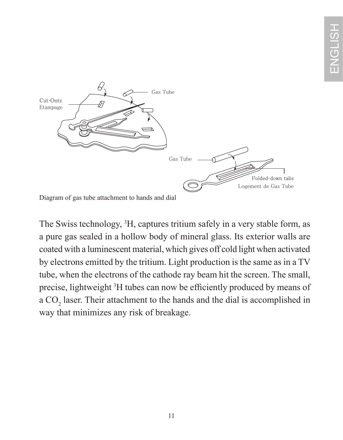

Diagram of gas tube attachment to hands and dial

The Swiss technology, 3 H, captures tritium safely in a very stable form, as a pure gas sealed in a hollow body of mineral glass. Its exterior walls are coated with a luminescent material, which gives off cold light when activated by electrons emitted by the tritium. Light production is the same as in a TV tube, when the electrons of the cathode ray beam hit the screen. The small, precise, lightweight 3 H tubes can now be efficiently produced by means of a  $CO<sub>2</sub>$  laser. Their attachment to the hands and the dial is accomplished in way that minimizes any risk of breakage.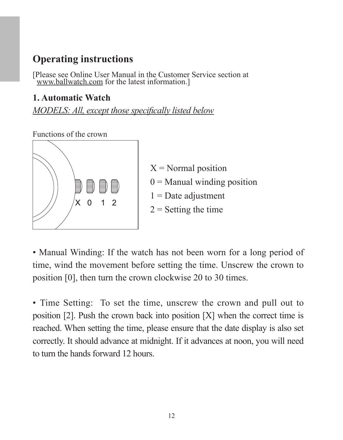### **Operating instructions**

[Please see Online User Manual in the Customer Service section at www.ballwatch.com for the latest information.]

#### **1. Automatic Watch**

*MODELS: All, except those specifically listed below*

Functions of the crown



 $X = Normal$  position  $0 =$  Manual winding position  $1 =$ Date adjustment  $2 =$  Setting the time

• Manual Winding: If the watch has not been worn for a long period of time, wind the movement before setting the time. Unscrew the crown to position [0], then turn the crown clockwise 20 to 30 times.

• Time Setting: To set the time, unscrew the crown and pull out to position [2]. Push the crown back into position [X] when the correct time is reached. When setting the time, please ensure that the date display is also set correctly. It should advance at midnight. If it advances at noon, you will need to turn the hands forward 12 hours.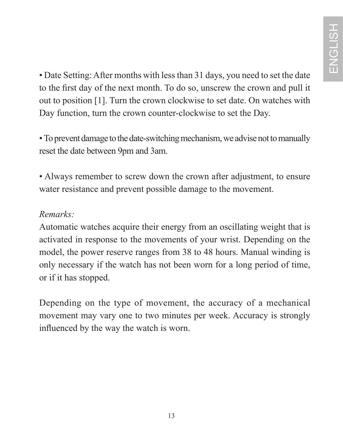• Date Setting: After months with less than 31 days, you need to set the date to the first day of the next month. To do so, unscrew the crown and pull it out to position [1]. Turn the crown clockwise to set date. On watches with Day function, turn the crown counter-clockwise to set the Day.

• To prevent damage to the date-switching mechanism, we advise not to manually reset the date between 9pm and 3am.

• Always remember to screw down the crown after adjustment, to ensure water resistance and prevent possible damage to the movement.

#### *Remarks:*

Automatic watches acquire their energy from an oscillating weight that is activated in response to the movements of your wrist. Depending on the model, the power reserve ranges from 38 to 48 hours. Manual winding is only necessary if the watch has not been worn for a long period of time, or if it has stopped.

Depending on the type of movement, the accuracy of a mechanical movement may vary one to two minutes per week. Accuracy is strongly influenced by the way the watch is worn.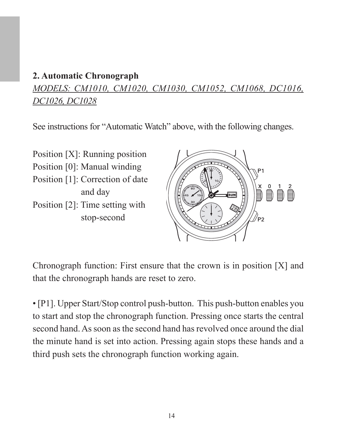#### **2. Automatic Chronograph**

*MODELS: CM1010, CM1020, CM1030, CM1052, CM1068, DC1016, DC1026, DC1028*

See instructions for "Automatic Watch" above, with the following changes.

Position [X]: Running position Position [0]: Manual winding Position [1]: Correction of date and day Position [2]: Time setting with stop-second



Chronograph function: First ensure that the crown is in position [X] and that the chronograph hands are reset to zero.

• [P1]. Upper Start/Stop control push-button. This push-button enables you to start and stop the chronograph function. Pressing once starts the central second hand. As soon as the second hand has revolved once around the dial the minute hand is set into action. Pressing again stops these hands and a third push sets the chronograph function working again.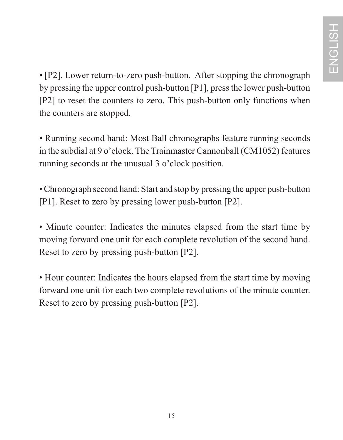• [P2]. Lower return-to-zero push-button. After stopping the chronograph by pressing the upper control push-button [P1], press the lower push-button [P2] to reset the counters to zero. This push-button only functions when the counters are stopped.

• Running second hand: Most Ball chronographs feature running seconds in the subdial at 9 o'clock. The Trainmaster Cannonball (CM1052) features running seconds at the unusual 3 o'clock position.

• Chronograph second hand: Start and stop by pressing the upper push-button [P1]. Reset to zero by pressing lower push-button [P2].

• Minute counter: Indicates the minutes elapsed from the start time by moving forward one unit for each complete revolution of the second hand. Reset to zero by pressing push-button [P2].

• Hour counter: Indicates the hours elapsed from the start time by moving forward one unit for each two complete revolutions of the minute counter. Reset to zero by pressing push-button [P2].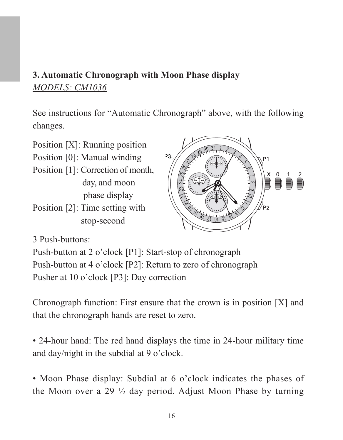### **3. Automatic Chronograph with Moon Phase display** *MODELS: CM1036*

See instructions for "Automatic Chronograph" above, with the following changes.

 $\overline{23}$ 

Position [X]: Running position Position [0]: Manual winding Position [1]: Correction of month, day, and moon phase display Position [2]: Time setting with

stop-second

3 Push-buttons:

Push-button at 2 o'clock [P1]: Start-stop of chronograph Push-button at 4 o'clock [P2]: Return to zero of chronograph Pusher at 10 o'clock [P3]: Day correction

Chronograph function: First ensure that the crown is in position [X] and that the chronograph hands are reset to zero.

• 24-hour hand: The red hand displays the time in 24-hour military time and day/night in the subdial at 9 o'clock.

• Moon Phase display: Subdial at 6 o'clock indicates the phases of the Moon over a 29 ½ day period. Adjust Moon Phase by turning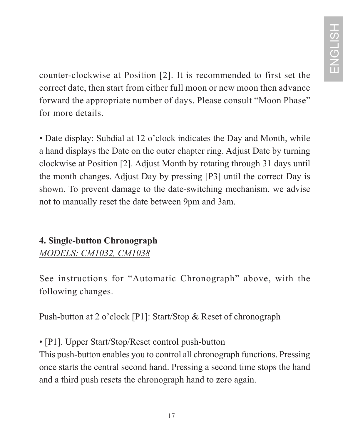counter-clockwise at Position [2]. It is recommended to first set the correct date, then start from either full moon or new moon then advance forward the appropriate number of days. Please consult "Moon Phase" for more details.

• Date display: Subdial at 12 o'clock indicates the Day and Month, while a hand displays the Date on the outer chapter ring. Adjust Date by turning clockwise at Position [2]. Adjust Month by rotating through 31 days until the month changes. Adjust Day by pressing [P3] until the correct Day is shown. To prevent damage to the date-switching mechanism, we advise not to manually reset the date between 9pm and 3am.

### **4. Single-button Chronograph** *MODELS: CM1032, CM1038*

See instructions for "Automatic Chronograph" above, with the following changes.

Push-button at 2 o'clock [P1]: Start/Stop & Reset of chronograph

• [P1]. Upper Start/Stop/Reset control push-button

This push-button enables you to control all chronograph functions. Pressing once starts the central second hand. Pressing a second time stops the hand and a third push resets the chronograph hand to zero again.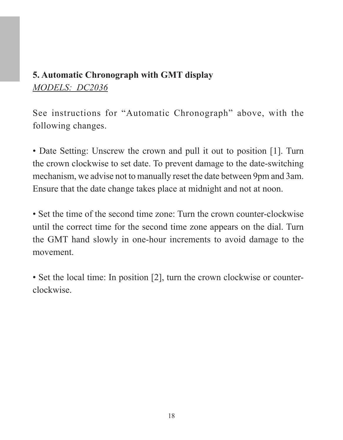### **5. Automatic Chronograph with GMT display** *MODELS: DC2036*

See instructions for "Automatic Chronograph" above, with the following changes.

• Date Setting: Unscrew the crown and pull it out to position [1]. Turn the crown clockwise to set date. To prevent damage to the date-switching mechanism, we advise not to manually reset the date between 9pm and 3am. Ensure that the date change takes place at midnight and not at noon.

• Set the time of the second time zone: Turn the crown counter-clockwise until the correct time for the second time zone appears on the dial. Turn the GMT hand slowly in one-hour increments to avoid damage to the movement.

• Set the local time: In position [2], turn the crown clockwise or counterclockwise.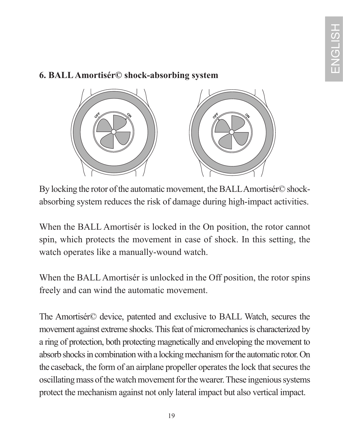#### **6. BALL Amortisér© shock-absorbing system**



By locking the rotor of the automatic movement, the BALL Amortisér© shockabsorbing system reduces the risk of damage during high-impact activities.

When the BALL Amortisér is locked in the On position, the rotor cannot spin, which protects the movement in case of shock. In this setting, the watch operates like a manually-wound watch.

When the BALL Amortisér is unlocked in the Off position, the rotor spins freely and can wind the automatic movement.

The Amortisér© device, patented and exclusive to BALL Watch, secures the movement against extreme shocks. This feat of micromechanics is characterized by a ring of protection, both protecting magnetically and enveloping the movement to absorb shocks in combination with a locking mechanism for the automatic rotor. On the caseback, the form of an airplane propeller operates the lock that secures the oscillating mass of the watch movement for the wearer. These ingenious systems protect the mechanism against not only lateral impact but also vertical impact.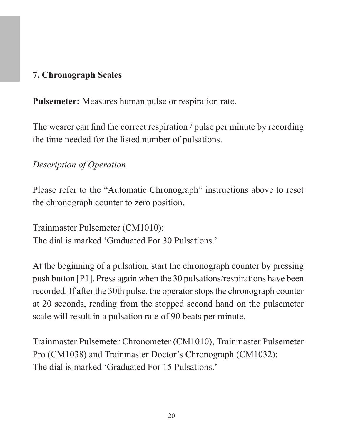#### **7. Chronograph Scales**

**Pulsemeter:** Measures human pulse or respiration rate.

The wearer can find the correct respiration / pulse per minute by recording the time needed for the listed number of pulsations.

### *Description of Operation*

Please refer to the "Automatic Chronograph" instructions above to reset the chronograph counter to zero position.

Trainmaster Pulsemeter (CM1010): The dial is marked 'Graduated For 30 Pulsations.'

At the beginning of a pulsation, start the chronograph counter by pressing push button [P1]. Press again when the 30 pulsations/respirations have been recorded. If after the 30th pulse, the operator stops the chronograph counter at 20 seconds, reading from the stopped second hand on the pulsemeter scale will result in a pulsation rate of 90 beats per minute.

Trainmaster Pulsemeter Chronometer (CM1010), Trainmaster Pulsemeter Pro (CM1038) and Trainmaster Doctor's Chronograph (CM1032): The dial is marked 'Graduated For 15 Pulsations.'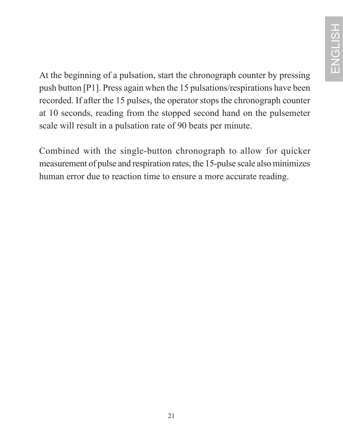At the beginning of a pulsation, start the chronograph counter by pressing push button [P1]. Press again when the 15 pulsations/respirations have been recorded. If after the 15 pulses, the operator stops the chronograph counter at 10 seconds, reading from the stopped second hand on the pulsemeter scale will result in a pulsation rate of 90 beats per minute.

Combined with the single-button chronograph to allow for quicker measurement of pulse and respiration rates, the 15-pulse scale also minimizes human error due to reaction time to ensure a more accurate reading.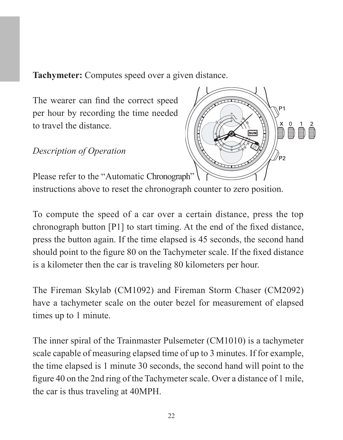**Tachymeter:** Computes speed over a given distance.

The wearer can find the correct speed per hour by recording the time needed to travel the distance.

*Description of Operation* 



Please refer to the "Automatic Chronograph"

instructions above to reset the chronograph counter to zero position.

To compute the speed of a car over a certain distance, press the top chronograph button [P1] to start timing. At the end of the fixed distance, press the button again. If the time elapsed is 45 seconds, the second hand should point to the figure 80 on the Tachymeter scale. If the fixed distance is a kilometer then the car is traveling 80 kilometers per hour.

The Fireman Skylab (CM1092) and Fireman Storm Chaser (CM2092) have a tachymeter scale on the outer bezel for measurement of elapsed times up to 1 minute.

The inner spiral of the Trainmaster Pulsemeter (CM1010) is a tachymeter scale capable of measuring elapsed time of up to 3 minutes. If for example, the time elapsed is 1 minute 30 seconds, the second hand will point to the figure 40 on the 2nd ring of the Tachymeter scale. Over a distance of 1 mile, the car is thus traveling at 40MPH.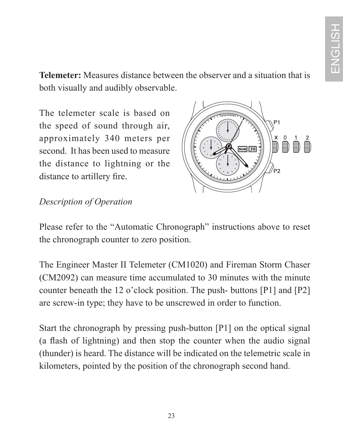**Telemeter:** Measures distance between the observer and a situation that is both visually and audibly observable.

The telemeter scale is based on the speed of sound through air approximately 340 meters per second. It has been used to measure the distance to lightning or the distance to artillery fire.



### *Description of Operation*

Please refer to the "Automatic Chronograph" instructions above to reset the chronograph counter to zero position.

The Engineer Master II Telemeter (CM1020) and Fireman Storm Chaser (CM2092) can measure time accumulated to 30 minutes with the minute counter beneath the 12 o'clock position. The push- buttons [P1] and [P2] are screw-in type; they have to be unscrewed in order to function.

Start the chronograph by pressing push-button [P1] on the optical signal (a flash of lightning) and then stop the counter when the audio signal (thunder) is heard. The distance will be indicated on the telemetric scale in kilometers, pointed by the position of the chronograph second hand.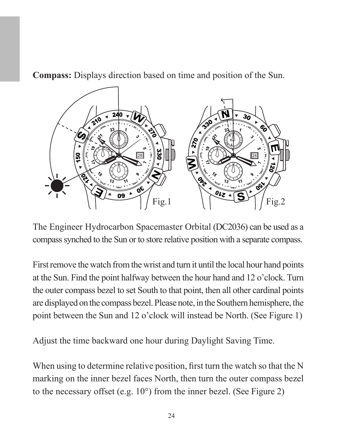**Compass:** Displays direction based on time and position of the Sun.



The Engineer Hydrocarbon Spacemaster Orbital (DC2036) can be used as a compass synched to the Sun or to store relative position with a separate compass.

First remove the watch from the wrist and turn it until the local hour hand points at the Sun. Find the point halfway between the hour hand and 12 o'clock. Turn the outer compass bezel to set South to that point, then all other cardinal points are displayed on the compass bezel. Please note, in the Southern hemisphere, the point between the Sun and 12 o'clock will instead be North. (See Figure 1)

Adjust the time backward one hour during Daylight Saving Time.

When using to determine relative position, first turn the watch so that the N marking on the inner bezel faces North, then turn the outer compass bezel to the necessary offset (e.g. 10°) from the inner bezel. (See Figure 2)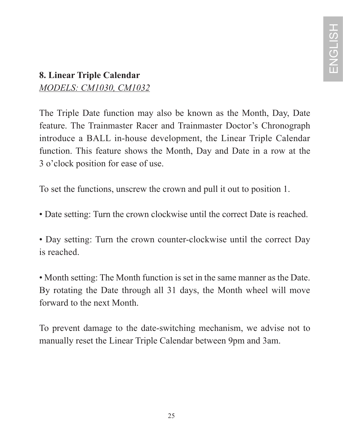### **8. Linear Triple Calendar**  *MODELS: CM1030, CM1032*

The Triple Date function may also be known as the Month, Day, Date feature. The Trainmaster Racer and Trainmaster Doctor's Chronograph introduce a BALL in-house development, the Linear Triple Calendar function. This feature shows the Month, Day and Date in a row at the 3 o'clock position for ease of use.

To set the functions, unscrew the crown and pull it out to position 1.

• Date setting: Turn the crown clockwise until the correct Date is reached.

• Day setting: Turn the crown counter-clockwise until the correct Day is reached.

• Month setting: The Month function is set in the same manner as the Date. By rotating the Date through all 31 days, the Month wheel will move forward to the next Month.

To prevent damage to the date-switching mechanism, we advise not to manually reset the Linear Triple Calendar between 9pm and 3am.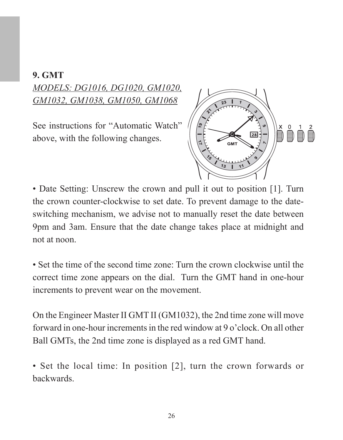#### **9. GMT**

*MODELS: DG1016, DG1020, GM1020, GM1032, GM1038, GM1050, GM1068*

See instructions for "Automatic Watch" above, with the following changes.



• Date Setting: Unscrew the crown and pull it out to position [1]. Turn the crown counter-clockwise to set date. To prevent damage to the dateswitching mechanism, we advise not to manually reset the date between 9pm and 3am. Ensure that the date change takes place at midnight and not at noon.

• Set the time of the second time zone: Turn the crown clockwise until the correct time zone appears on the dial. Turn the GMT hand in one-hour increments to prevent wear on the movement.

On the Engineer Master II GMT II (GM1032), the 2nd time zone will move forward in one-hour increments in the red window at 9 o'clock. On all other Ball GMTs, the 2nd time zone is displayed as a red GMT hand.

• Set the local time: In position [2], turn the crown forwards or backwards.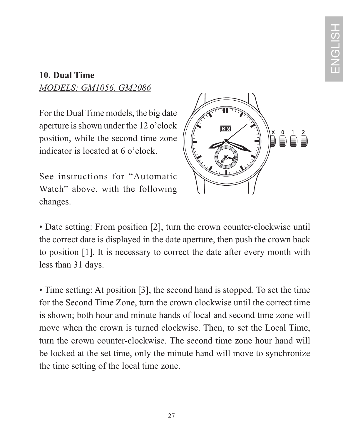#### **10. Dual Time** *MODELS: GM1056, GM2086*

For the Dual Time models, the big date aperture is shown under the 12 o'clock position, while the second time zone indicator is located at 6 o'clock.

See instructions for "Automatic Watch" above, with the following changes.



• Date setting: From position [2], turn the crown counter-clockwise until the correct date is displayed in the date aperture, then push the crown back to position [1]. It is necessary to correct the date after every month with less than 31 days.

• Time setting: At position [3], the second hand is stopped. To set the time for the Second Time Zone, turn the crown clockwise until the correct time is shown; both hour and minute hands of local and second time zone will move when the crown is turned clockwise. Then, to set the Local Time, turn the crown counter-clockwise. The second time zone hour hand will be locked at the set time, only the minute hand will move to synchronize the time setting of the local time zone.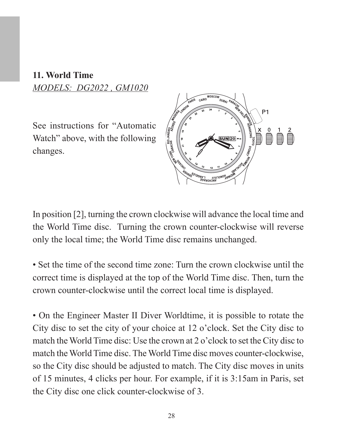#### **11. World Time** *MODELS: DG2022 , GM1020*

See instructions for "Automatic Watch" above, with the following changes.



In position [2], turning the crown clockwise will advance the local time and the World Time disc. Turning the crown counter-clockwise will reverse only the local time; the World Time disc remains unchanged.

• Set the time of the second time zone: Turn the crown clockwise until the correct time is displayed at the top of the World Time disc. Then, turn the crown counter-clockwise until the correct local time is displayed.

• On the Engineer Master II Diver Worldtime, it is possible to rotate the City disc to set the city of your choice at 12 o'clock. Set the City disc to match the World Time disc: Use the crown at 2 o'clock to set the City disc to match the World Time disc. The World Time disc moves counter-clockwise, so the City disc should be adjusted to match. The City disc moves in units of 15 minutes, 4 clicks per hour. For example, if it is 3:15am in Paris, set the City disc one click counter-clockwise of 3.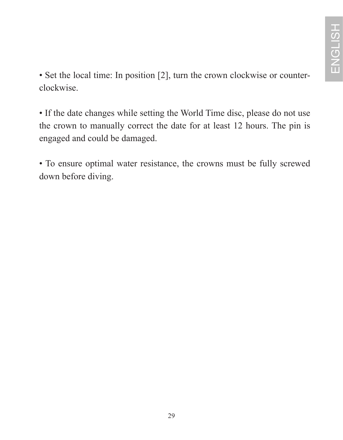• Set the local time: In position [2], turn the crown clockwise or counterclockwise.

• If the date changes while setting the World Time disc, please do not use the crown to manually correct the date for at least 12 hours. The pin is engaged and could be damaged.

• To ensure optimal water resistance, the crowns must be fully screwed down before diving.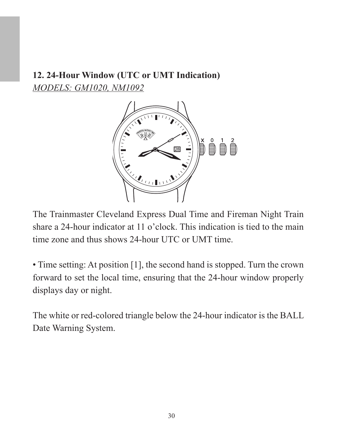### **12. 24-Hour Window (UTC or UMT Indication)** *MODELS: GM1020, NM1092*



The Trainmaster Cleveland Express Dual Time and Fireman Night Train share a 24-hour indicator at 11 o'clock. This indication is tied to the main time zone and thus shows 24-hour UTC or UMT time.

• Time setting: At position [1], the second hand is stopped. Turn the crown forward to set the local time, ensuring that the 24-hour window properly displays day or night.

The white or red-colored triangle below the 24-hour indicator is the BALL Date Warning System.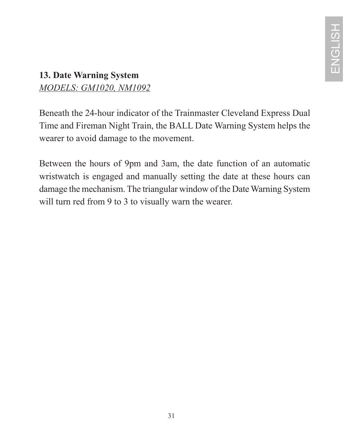### **13. Date Warning System** *MODELS: GM1020, NM1092*

Beneath the 24-hour indicator of the Trainmaster Cleveland Express Dual Time and Fireman Night Train, the BALL Date Warning System helps the wearer to avoid damage to the movement.

Between the hours of 9pm and 3am, the date function of an automatic wristwatch is engaged and manually setting the date at these hours can damage the mechanism. The triangular window of the Date Warning System will turn red from 9 to 3 to visually warn the wearer.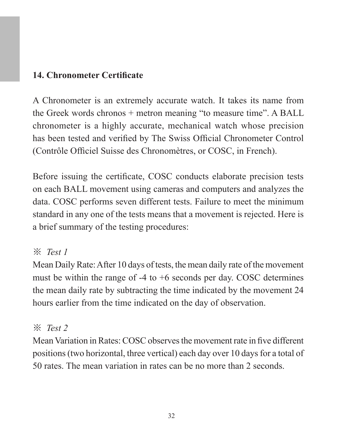#### **14. Chronometer Certificate**

A Chronometer is an extremely accurate watch. It takes its name from the Greek words chronos + metron meaning "to measure time". A BALL chronometer is a highly accurate, mechanical watch whose precision has been tested and verified by The Swiss Official Chronometer Control (Contrôle Officiel Suisse des Chronomètres, or COSC, in French).

Before issuing the certificate, COSC conducts elaborate precision tests on each BALL movement using cameras and computers and analyzes the data. COSC performs seven different tests. Failure to meet the minimum standard in any one of the tests means that a movement is rejected. Here is a brief summary of the testing procedures:

#### ※ *Test 1*

Mean Daily Rate: After 10 days of tests, the mean daily rate of the movement must be within the range of  $-4$  to  $+6$  seconds per day. COSC determines the mean daily rate by subtracting the time indicated by the movement 24 hours earlier from the time indicated on the day of observation.

### ※ *Test 2*

Mean Variation in Rates: COSC observes the movement rate in five different positions (two horizontal, three vertical) each day over 10 days for a total of 50 rates. The mean variation in rates can be no more than 2 seconds.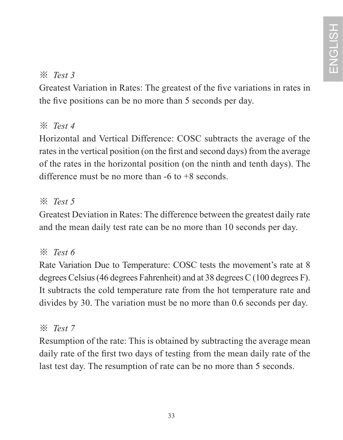### ※ *Test 3*

Greatest Variation in Rates: The greatest of the five variations in rates in the five positions can be no more than 5 seconds per day.

### ※ *Test 4*

Horizontal and Vertical Difference: COSC subtracts the average of the rates in the vertical position (on the first and second days) from the average of the rates in the horizontal position (on the ninth and tenth days). The difference must be no more than -6 to +8 seconds.

### ※ *Test 5*

Greatest Deviation in Rates: The difference between the greatest daily rate and the mean daily test rate can be no more than 10 seconds per day.

### ※ *Test 6*

Rate Variation Due to Temperature: COSC tests the movement's rate at 8 degrees Celsius (46 degrees Fahrenheit) and at 38 degrees C (100 degrees F). It subtracts the cold temperature rate from the hot temperature rate and divides by 30. The variation must be no more than 0.6 seconds per day.

### ※ *Test 7*

Resumption of the rate: This is obtained by subtracting the average mean daily rate of the first two days of testing from the mean daily rate of the last test day. The resumption of rate can be no more than 5 seconds.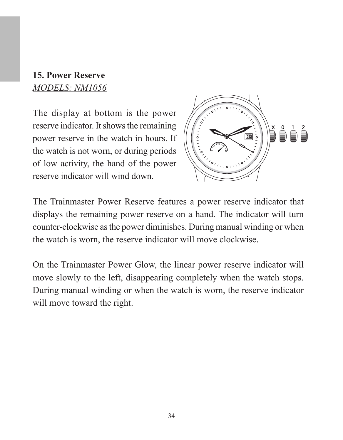#### **15. Power Reserve** *MODELS: NM1056*

The display at bottom is the power reserve indicator. It shows the remaining power reserve in the watch in hours. If the watch is not worn, or during periods of low activity, the hand of the power reserve indicator will wind down.



The Trainmaster Power Reserve features a power reserve indicator that displays the remaining power reserve on a hand. The indicator will turn counter-clockwise as the power diminishes. During manual winding or when the watch is worn, the reserve indicator will move clockwise.

On the Trainmaster Power Glow, the linear power reserve indicator will move slowly to the left, disappearing completely when the watch stops. During manual winding or when the watch is worn, the reserve indicator will move toward the right.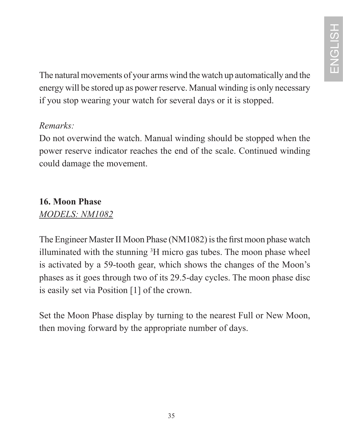The natural movements of your arms wind the watch up automatically and the energy will be stored up as power reserve. Manual winding is only necessary if you stop wearing your watch for several days or it is stopped.

#### *Remarks:*

Do not overwind the watch. Manual winding should be stopped when the power reserve indicator reaches the end of the scale. Continued winding could damage the movement.

# **16. Moon Phase**

#### *MODELS: NM1082*

The Engineer Master II Moon Phase (NM1082) is the first moon phase watch illuminated with the stunning <sup>3</sup>H micro gas tubes. The moon phase wheel is activated by a 59-tooth gear, which shows the changes of the Moon's phases as it goes through two of its 29.5-day cycles. The moon phase disc is easily set via Position [1] of the crown.

Set the Moon Phase display by turning to the nearest Full or New Moon, then moving forward by the appropriate number of days.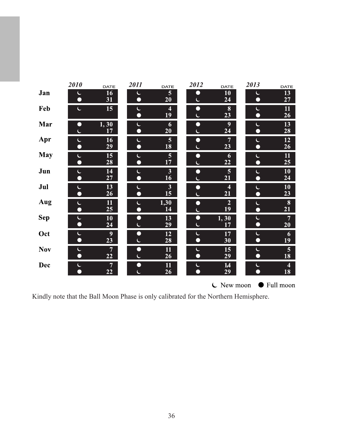|            | <i>2010</i>    | DATE             | 2011        | DATE    | 2012      | DATE                   | 2013           | DATE                |
|------------|----------------|------------------|-------------|---------|-----------|------------------------|----------------|---------------------|
| Jan        | L              | 16               | Ċ           | 5       | Ω         | 10 <sup>°</sup>        | C              | 13                  |
|            | $\bullet$      | 31               | ∩           | 20      | Ċ         | 24                     | O              | 27                  |
| Feb        | Ċ              | 15               | Ċ<br>O      | 4<br>19 | $\bullet$ | 8<br>23                | C<br>∩         | 11<br>26            |
| Mar        | □              | 1,30<br>17       | C<br>$\Box$ | 6<br>20 | $\bullet$ | $\boldsymbol{9}$<br>24 | C<br>n         | 13<br>28            |
| Apr        | C<br>$\bullet$ | 16<br>29         | C<br>O      | 5<br>18 | $\bullet$ | $\overline{7}$<br>23   | L<br>$\bullet$ | 12<br>26            |
| May        | Ć<br>$\bullet$ | 15<br>28         | Ć<br>$\Box$ | 5<br>17 | $\bullet$ | 6<br>22                | L<br>Ω         | $\mathbf{11}$<br>25 |
| Jun        | C              | 14               | C           | 3       | $\bullet$ | 5                      | C              | 10                  |
|            | ∩              | 27               | O           | 16      | c.        | 21                     | $\Box$         | 24                  |
| Jul        | C              | 13               | C           | 3       | $\bullet$ | $\overline{4}$         | L              | 10                  |
|            | $\Box$         | 26               | $\Box$      | 15      | Ċ         | 21                     | $\bullet$      | 23                  |
| Aug        | C              | 11               | Ċ           | 1,30    | O         | $\overline{2}$         | Ć              | 8                   |
|            | $\bullet$      | 25               | O           | 14      | Ċ         | 19                     | $\Box$         | 21                  |
| Sep        | C              | 10               | Ω           | 13      | $\bullet$ | 1,30                   | C              | $\overline{7}$      |
|            | $\bullet$      | 24               | Ċ           | 29      | Ċ         | 17                     | $\bullet$      | 20                  |
| Oct        | Ċ              | $\boldsymbol{9}$ | Ο           | 12      | Ć         | 17                     | L              | 6                   |
|            | $\bullet$      | 23               | Ċ           | 28      | $\bullet$ | 30                     | $\bullet$      | 19                  |
| <b>Nov</b> | C              | $\overline{7}$   | Ω           | 11      | C         | 15                     | C              | 5                   |
|            | O              | 22               | Ċ           | 26      | $\bullet$ | 29                     | О              | 18                  |
| Dec        | C              | $\overline{7}$   | Ο           | 11      | C         | 14                     | C              | 4                   |
|            | ∩              | 22               | Ċ           | 26      | Ω         | 29                     | $\bullet$      | 18                  |
|            |                |                  |             |         |           |                        |                |                     |

 $\mathsf{C}$  New moon  $\mathsf{C}$  Full moon

Kindly note that the Ball Moon Phase is only calibrated for the Northern Hemisphere.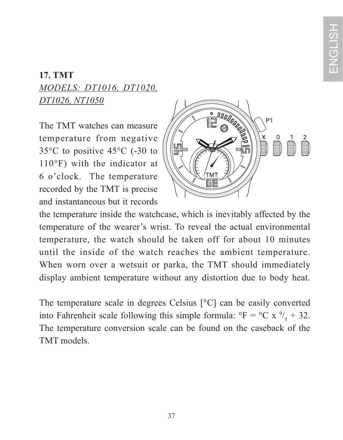## **17. TMT** *MODELS: DT1016, DT1020, DT1026, NT1050*

The TMT watches can measure temperature from negative 35°C to positive 45°C (-30 to 110°F) with the indicator at 6 o'clock. The temperature recorded by the TMT is precise and instantaneous but it records



the temperature inside the watchcase, which is inevitably affected by the temperature of the wearer's wrist. To reveal the actual environmental temperature, the watch should be taken off for about 10 minutes until the inside of the watch reaches the ambient temperature. When worn over a wetsuit or parka, the TMT should immediately display ambient temperature without any distortion due to body heat.

The temperature scale in degrees Celsius [°C] can be easily converted into Fahrenheit scale following this simple formula:  ${}^{\circ}$ F =  ${}^{\circ}$ C x  ${}^{\circ}$ /<sub>5</sub> + 32. The temperature conversion scale can be found on the caseback of the TMT models.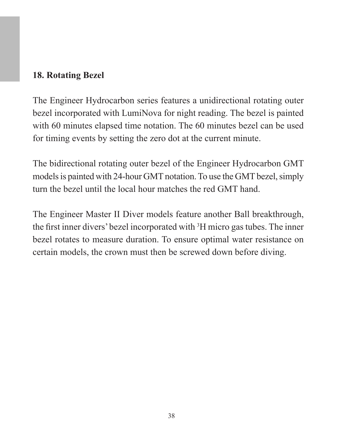#### **18. Rotating Bezel**

The Engineer Hydrocarbon series features a unidirectional rotating outer bezel incorporated with LumiNova for night reading. The bezel is painted with 60 minutes elapsed time notation. The 60 minutes bezel can be used for timing events by setting the zero dot at the current minute.

The bidirectional rotating outer bezel of the Engineer Hydrocarbon GMT models is painted with 24-hour GMT notation. To use the GMT bezel, simply turn the bezel until the local hour matches the red GMT hand.

The Engineer Master II Diver models feature another Ball breakthrough, the first inner divers' bezel incorporated with <sup>3</sup>H micro gas tubes. The inner bezel rotates to measure duration. To ensure optimal water resistance on certain models, the crown must then be screwed down before diving.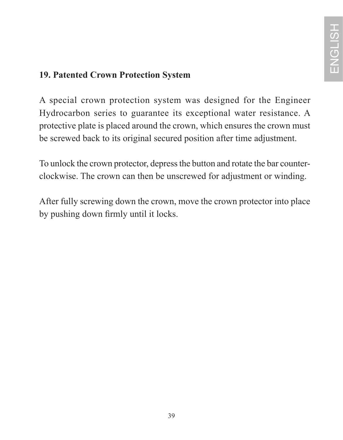### **19. Patented Crown Protection System**

A special crown protection system was designed for the Engineer Hydrocarbon series to guarantee its exceptional water resistance. A protective plate is placed around the crown, which ensures the crown must be screwed back to its original secured position after time adjustment.

To unlock the crown protector, depress the button and rotate the bar counterclockwise. The crown can then be unscrewed for adjustment or winding.

After fully screwing down the crown, move the crown protector into place by pushing down firmly until it locks.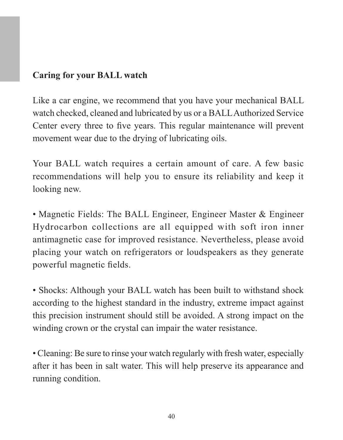#### **Caring for your BALL watch**

Like a car engine, we recommend that you have your mechanical BALL watch checked, cleaned and lubricated by us or a BALL Authorized Service Center every three to five years. This regular maintenance will prevent movement wear due to the drying of lubricating oils.

Your BALL watch requires a certain amount of care. A few basic recommendations will help you to ensure its reliability and keep it looking new.

• Magnetic Fields: The BALL Engineer, Engineer Master & Engineer Hydrocarbon collections are all equipped with soft iron inner antimagnetic case for improved resistance. Nevertheless, please avoid placing your watch on refrigerators or loudspeakers as they generate powerful magnetic fields.

• Shocks: Although your BALL watch has been built to withstand shock according to the highest standard in the industry, extreme impact against this precision instrument should still be avoided. A strong impact on the winding crown or the crystal can impair the water resistance.

• Cleaning: Be sure to rinse your watch regularly with fresh water, especially after it has been in salt water. This will help preserve its appearance and running condition.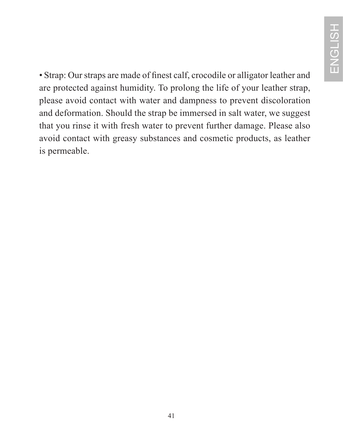• Strap: Our straps are made of finest calf, crocodile or alligator leather and are protected against humidity. To prolong the life of your leather strap, please avoid contact with water and dampness to prevent discoloration and deformation. Should the strap be immersed in salt water, we suggest that you rinse it with fresh water to prevent further damage. Please also avoid contact with greasy substances and cosmetic products, as leather is permeable.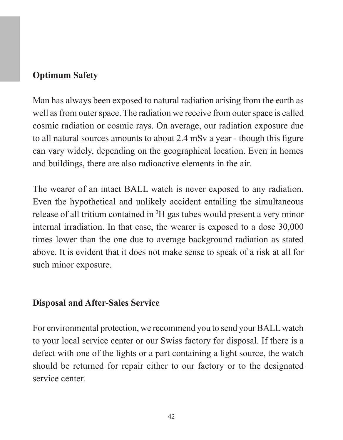#### **Optimum Safety**

Man has always been exposed to natural radiation arising from the earth as well as from outer space. The radiation we receive from outer space is called cosmic radiation or cosmic rays. On average, our radiation exposure due to all natural sources amounts to about 2.4 mSv a year - though this figure can vary widely, depending on the geographical location. Even in homes and buildings, there are also radioactive elements in the air.

The wearer of an intact BALL watch is never exposed to any radiation. Even the hypothetical and unlikely accident entailing the simultaneous release of all tritium contained in <sup>3</sup>H gas tubes would present a very minor internal irradiation. In that case, the wearer is exposed to a dose 30,000 times lower than the one due to average background radiation as stated above. It is evident that it does not make sense to speak of a risk at all for such minor exposure.

#### **Disposal and After-Sales Service**

For environmental protection, we recommend you to send your BALL watch to your local service center or our Swiss factory for disposal. If there is a defect with one of the lights or a part containing a light source, the watch should be returned for repair either to our factory or to the designated service center.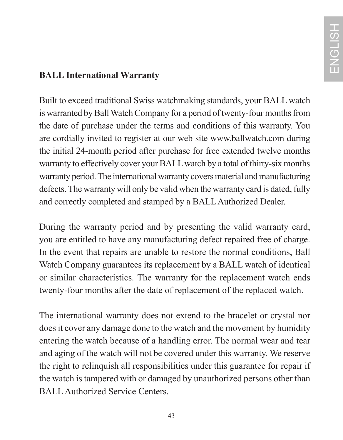### **BALL International Warranty**

Built to exceed traditional Swiss watchmaking standards, your BALL watch is warranted by Ball Watch Company for a period of twenty-four months from the date of purchase under the terms and conditions of this warranty. You are cordially invited to register at our web site www.ballwatch.com during the initial 24-month period after purchase for free extended twelve months warranty to effectively cover your BALL watch by a total of thirty-six months warranty period. The international warranty covers material and manufacturing defects. The warranty will only be valid when the warranty card is dated, fully and correctly completed and stamped by a BALL Authorized Dealer.

During the warranty period and by presenting the valid warranty card, you are entitled to have any manufacturing defect repaired free of charge. In the event that repairs are unable to restore the normal conditions, Ball Watch Company guarantees its replacement by a BALL watch of identical or similar characteristics. The warranty for the replacement watch ends twenty-four months after the date of replacement of the replaced watch.

The international warranty does not extend to the bracelet or crystal nor does it cover any damage done to the watch and the movement by humidity entering the watch because of a handling error. The normal wear and tear and aging of the watch will not be covered under this warranty. We reserve the right to relinquish all responsibilities under this guarantee for repair if the watch is tampered with or damaged by unauthorized persons other than BALL Authorized Service Centers.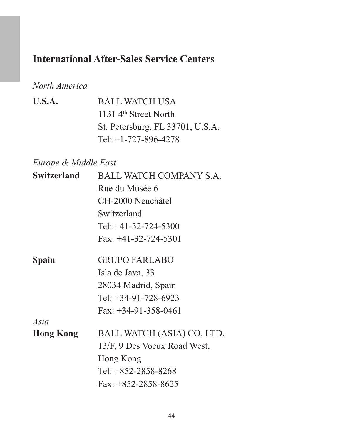# **International After-Sales Service Centers**

### *North America*

| U.S.A. | <b>BALL WATCH USA</b>             |
|--------|-----------------------------------|
|        | 1131 4 <sup>th</sup> Street North |
|        | St. Petersburg, FL 33701, U.S.A.  |
|        | Tel: $+1-727-896-4278$            |

### *Europe & Middle East*

| Switzerland      | BALL WATCH COMPANY S.A.      |  |
|------------------|------------------------------|--|
|                  | Rue du Musée 6               |  |
|                  | CH-2000 Neuchâtel            |  |
|                  | Switzerland                  |  |
|                  | Tel: $+41-32-724-5300$       |  |
|                  | Fax: $+41-32-724-5301$       |  |
| Spain            | <b>GRUPO FARLABO</b>         |  |
|                  | Isla de Java, 33             |  |
|                  | 28034 Madrid, Spain          |  |
|                  | Tel: $+34-91-728-6923$       |  |
|                  | $Fax: +34-91-358-0461$       |  |
| Asia             |                              |  |
| <b>Hong Kong</b> | BALL WATCH (ASIA) CO. LTD.   |  |
|                  | 13/F, 9 Des Voeux Road West, |  |
|                  | Hong Kong                    |  |
|                  | Tel: $+852-2858-8268$        |  |
|                  | $Fax: +852-2858-8625$        |  |
|                  |                              |  |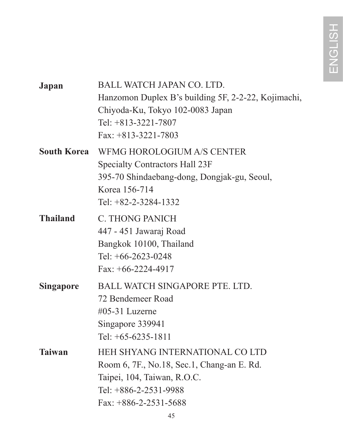| Japan            | BALL WATCH JAPAN CO. LTD.<br>Hanzomon Duplex B's building 5F, 2-2-22, Kojimachi,<br>Chiyoda-Ku, Tokyo 102-0083 Japan<br>Tel: $+813-3221-7807$<br>$Fax: +813-3221-7803$ |
|------------------|------------------------------------------------------------------------------------------------------------------------------------------------------------------------|
| South Korea      | WFMG HOROLOGIUM A/S CENTER<br>Specialty Contractors Hall 23F<br>395-70 Shindaebang-dong, Dongjak-gu, Seoul,<br>Korea 156-714<br>Tel: +82-2-3284-1332                   |
| <b>Thailand</b>  | <b>C. THONG PANICH</b><br>447 - 451 Jawaraj Road<br>Bangkok 10100, Thailand<br>Tel: $+66-2623-0248$<br>Fax: $+66-2224-4917$                                            |
| <b>Singapore</b> | <b>BALL WATCH SINGAPORE PTE. LTD.</b><br>72 Bendemeer Road<br>#05-31 Luzerne<br>Singapore 339941<br>Tel: +65-6235-1811                                                 |
| <b>Taiwan</b>    | HEH SHYANG INTERNATIONAL CO LTD<br>Room 6, 7F., No.18, Sec.1, Chang-an E. Rd.<br>Taipei, 104, Taiwan, R.O.C.<br>Tel: +886-2-2531-9988<br>Fax: $+886-2-2531-5688$       |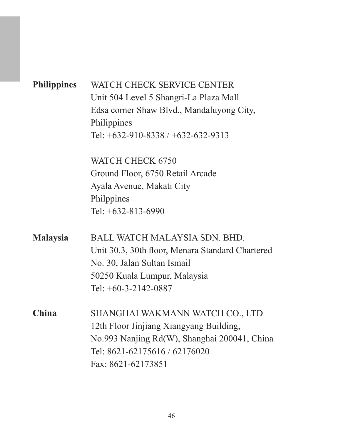| <b>Philippines</b> | WATCH CHECK SERVICE CENTER                       |
|--------------------|--------------------------------------------------|
|                    | Unit 504 Level 5 Shangri-La Plaza Mall           |
|                    | Edsa corner Shaw Blvd., Mandaluyong City,        |
|                    | Philippines                                      |
|                    | Tel: $+632-910-8338/+632-632-9313$               |
|                    | WATCH CHECK 6750                                 |
|                    | Ground Floor, 6750 Retail Arcade                 |
|                    | Ayala Avenue, Makati City                        |
|                    | Philppines                                       |
|                    | Tel: +632-813-6990                               |
| <b>Malaysia</b>    | <b>BALL WATCH MALAYSIA SDN BHD</b>               |
|                    | Unit 30.3, 30th floor, Menara Standard Chartered |
|                    | No. 30, Jalan Sultan Ismail                      |
|                    | 50250 Kuala Lumpur, Malaysia                     |
|                    | Tel: $+60-3-2142-0887$                           |
| China              | SHANGHAI WAKMANN WATCH CO., LTD                  |
|                    | 12th Floor Jinjiang Xiangyang Building,          |
|                    | No.993 Nanjing Rd(W), Shanghai 200041, China     |
|                    | Tel: 8621-62175616 / 62176020                    |
|                    | Fax: 8621-62173851                               |
|                    |                                                  |